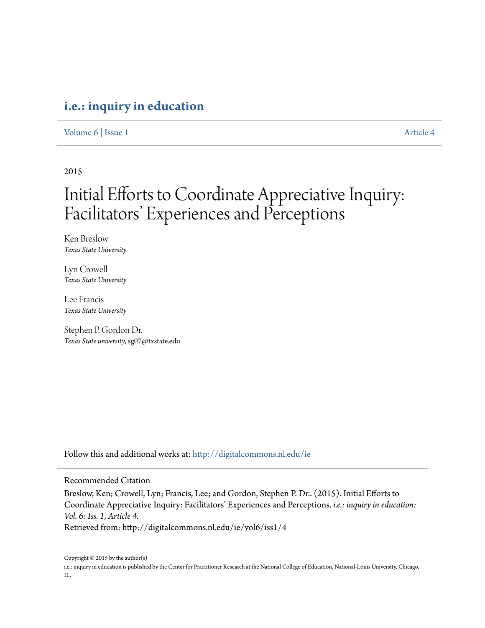### **[i.e.: inquiry in education](http://digitalcommons.nl.edu/ie?utm_source=digitalcommons.nl.edu%2Fie%2Fvol6%2Fiss1%2F4&utm_medium=PDF&utm_campaign=PDFCoverPages)**

#### [Volume 6](http://digitalcommons.nl.edu/ie/vol6?utm_source=digitalcommons.nl.edu%2Fie%2Fvol6%2Fiss1%2F4&utm_medium=PDF&utm_campaign=PDFCoverPages) | [Issue 1](http://digitalcommons.nl.edu/ie/vol6/iss1?utm_source=digitalcommons.nl.edu%2Fie%2Fvol6%2Fiss1%2F4&utm_medium=PDF&utm_campaign=PDFCoverPages) [Article 4](http://digitalcommons.nl.edu/ie/vol6/iss1/4?utm_source=digitalcommons.nl.edu%2Fie%2Fvol6%2Fiss1%2F4&utm_medium=PDF&utm_campaign=PDFCoverPages)

#### 2015

## Initial Efforts to Coordinate Appreciative Inquiry: Facilitators' Experiences and Perceptions

Ken Breslow *Texas State University*

Lyn Crowell *Texas State University*

Lee Francis *Texas State University*

Stephen P. Gordon Dr. *Texas State university*, sg07@txstate.edu

Follow this and additional works at: [http://digitalcommons.nl.edu/ie](http://digitalcommons.nl.edu/ie?utm_source=digitalcommons.nl.edu%2Fie%2Fvol6%2Fiss1%2F4&utm_medium=PDF&utm_campaign=PDFCoverPages)

Recommended Citation

Breslow, Ken; Crowell, Lyn; Francis, Lee; and Gordon, Stephen P. Dr.. (2015). Initial Efforts to Coordinate Appreciative Inquiry: Facilitators' Experiences and Perceptions. *i.e.: inquiry in education: Vol. 6: Iss. 1, Article 4.*

Retrieved from: http://digitalcommons.nl.edu/ie/vol6/iss1/4

Copyright © 2015 by the author(s)

i.e.: inquiry in education is published by the Center for Practitioner Research at the National College of Education, National-Louis University, Chicago, IL.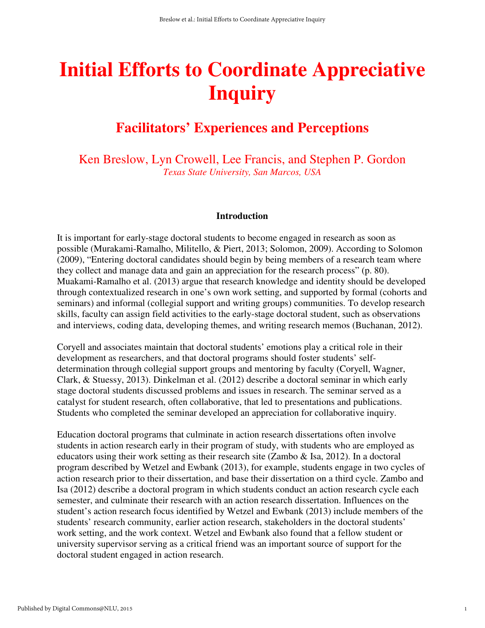# **Initial Efforts to Coordinate Appreciative Inquiry**

## **Facilitators' Experiences and Perceptions**

Ken Breslow, Lyn Crowell, Lee Francis, and Stephen P. Gordon *Texas State University, San Marcos, USA* 

#### **Introduction**

It is important for early-stage doctoral students to become engaged in research as soon as possible (Murakami-Ramalho, Militello, & Piert, 2013; Solomon, 2009). According to Solomon (2009), "Entering doctoral candidates should begin by being members of a research team where they collect and manage data and gain an appreciation for the research process" (p. 80). Muakami-Ramalho et al. (2013) argue that research knowledge and identity should be developed through contextualized research in one's own work setting, and supported by formal (cohorts and seminars) and informal (collegial support and writing groups) communities. To develop research skills, faculty can assign field activities to the early-stage doctoral student, such as observations and interviews, coding data, developing themes, and writing research memos (Buchanan, 2012).

Coryell and associates maintain that doctoral students' emotions play a critical role in their development as researchers, and that doctoral programs should foster students' selfdetermination through collegial support groups and mentoring by faculty (Coryell, Wagner, Clark, & Stuessy, 2013). Dinkelman et al. (2012) describe a doctoral seminar in which early stage doctoral students discussed problems and issues in research. The seminar served as a catalyst for student research, often collaborative, that led to presentations and publications. Students who completed the seminar developed an appreciation for collaborative inquiry.

Education doctoral programs that culminate in action research dissertations often involve students in action research early in their program of study, with students who are employed as educators using their work setting as their research site (Zambo & Isa, 2012). In a doctoral program described by Wetzel and Ewbank (2013), for example, students engage in two cycles of action research prior to their dissertation, and base their dissertation on a third cycle. Zambo and Isa (2012) describe a doctoral program in which students conduct an action research cycle each semester, and culminate their research with an action research dissertation. Influences on the student's action research focus identified by Wetzel and Ewbank (2013) include members of the students' research community, earlier action research, stakeholders in the doctoral students' work setting, and the work context. Wetzel and Ewbank also found that a fellow student or university supervisor serving as a critical friend was an important source of support for the doctoral student engaged in action research.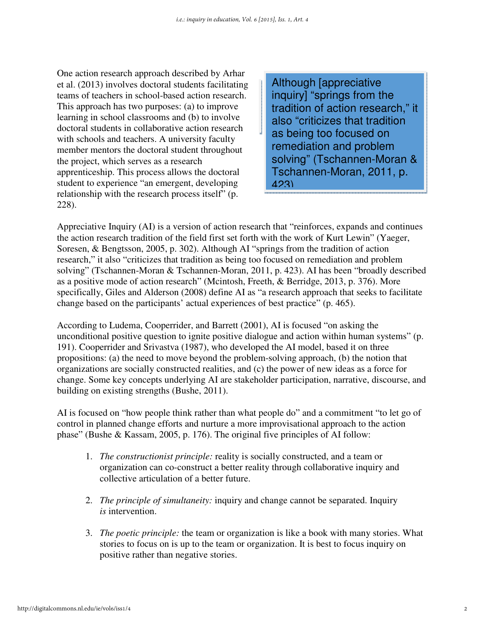One action research approach described by Arhar et al. (2013) involves doctoral students facilitating teams of teachers in school-based action research. This approach has two purposes: (a) to improve learning in school classrooms and (b) to involve doctoral students in collaborative action research with schools and teachers. A university faculty member mentors the doctoral student throughout the project, which serves as a research apprenticeship. This process allows the doctoral student to experience "an emergent, developing relationship with the research process itself" (p. 228).

Although [appreciative inquiry] "springs from the tradition of action research," it also "criticizes that tradition as being too focused on remediation and problem solving" (Tschannen-Moran & Tschannen-Moran, 2011, p. 423).

Appreciative Inquiry (AI) is a version of action research that "reinforces, expands and continues the action research tradition of the field first set forth with the work of Kurt Lewin" (Yaeger, Soresen, & Bengtsson, 2005, p. 302). Although AI "springs from the tradition of action research," it also "criticizes that tradition as being too focused on remediation and problem solving" (Tschannen-Moran & Tschannen-Moran, 2011, p. 423). AI has been "broadly described as a positive mode of action research" (Mcintosh, Freeth, & Berridge, 2013, p. 376). More specifically, Giles and Alderson (2008) define AI as "a research approach that seeks to facilitate change based on the participants' actual experiences of best practice" (p. 465).

According to Ludema, Cooperrider, and Barrett (2001), AI is focused "on asking the unconditional positive question to ignite positive dialogue and action within human systems" (p. 191). Cooperrider and Srivastva (1987), who developed the AI model, based it on three propositions: (a) the need to move beyond the problem-solving approach, (b) the notion that organizations are socially constructed realities, and (c) the power of new ideas as a force for change. Some key concepts underlying AI are stakeholder participation, narrative, discourse, and building on existing strengths (Bushe, 2011).

AI is focused on "how people think rather than what people do" and a commitment "to let go of control in planned change efforts and nurture a more improvisational approach to the action phase" (Bushe & Kassam, 2005, p. 176). The original five principles of AI follow:

- 1. *The constructionist principle:* reality is socially constructed, and a team or organization can co-construct a better reality through collaborative inquiry and collective articulation of a better future.
- 2. *The principle of simultaneity:* inquiry and change cannot be separated. Inquiry  *is* intervention.
- 3. *The poetic principle:* the team or organization is like a book with many stories. What stories to focus on is up to the team or organization. It is best to focus inquiry on positive rather than negative stories.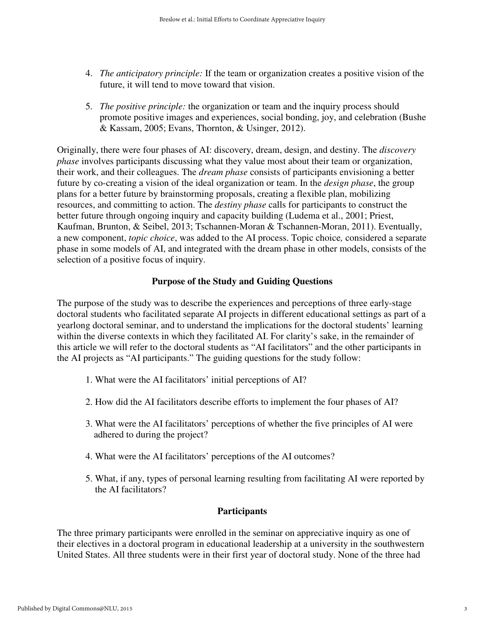- 4. *The anticipatory principle:* If the team or organization creates a positive vision of the future, it will tend to move toward that vision.
- 5. *The positive principle:* the organization or team and the inquiry process should promote positive images and experiences, social bonding, joy, and celebration (Bushe & Kassam, 2005; Evans, Thornton, & Usinger, 2012).

Originally, there were four phases of AI: discovery, dream, design, and destiny. The *discovery phase* involves participants discussing what they value most about their team or organization, their work, and their colleagues. The *dream phase* consists of participants envisioning a better future by co-creating a vision of the ideal organization or team. In the *design phase*, the group plans for a better future by brainstorming proposals, creating a flexible plan, mobilizing resources, and committing to action. The *destiny phase* calls for participants to construct the better future through ongoing inquiry and capacity building (Ludema et al., 2001; Priest, Kaufman, Brunton, & Seibel, 2013; Tschannen-Moran & Tschannen-Moran, 2011). Eventually, a new component, *topic choice*, was added to the AI process. Topic choice*,* considered a separate phase in some models of AI, and integrated with the dream phase in other models, consists of the selection of a positive focus of inquiry.

#### **Purpose of the Study and Guiding Questions**

The purpose of the study was to describe the experiences and perceptions of three early-stage doctoral students who facilitated separate AI projects in different educational settings as part of a yearlong doctoral seminar, and to understand the implications for the doctoral students' learning within the diverse contexts in which they facilitated AI. For clarity's sake, in the remainder of this article we will refer to the doctoral students as "AI facilitators" and the other participants in the AI projects as "AI participants." The guiding questions for the study follow:

- 1. What were the AI facilitators' initial perceptions of AI?
- 2. How did the AI facilitators describe efforts to implement the four phases of AI?
- 3. What were the AI facilitators' perceptions of whether the five principles of AI were adhered to during the project?
- 4. What were the AI facilitators' perceptions of the AI outcomes?
- 5. What, if any, types of personal learning resulting from facilitating AI were reported by the AI facilitators?

#### **Participants**

The three primary participants were enrolled in the seminar on appreciative inquiry as one of their electives in a doctoral program in educational leadership at a university in the southwestern United States. All three students were in their first year of doctoral study. None of the three had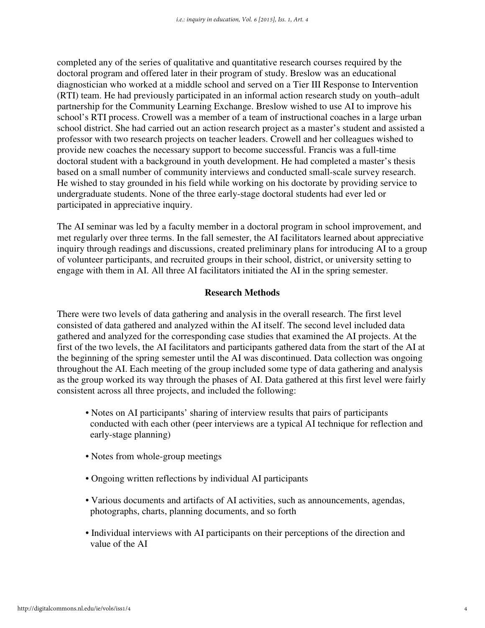completed any of the series of qualitative and quantitative research courses required by the doctoral program and offered later in their program of study. Breslow was an educational diagnostician who worked at a middle school and served on a Tier III Response to Intervention (RTI) team. He had previously participated in an informal action research study on youth–adult partnership for the Community Learning Exchange. Breslow wished to use AI to improve his school's RTI process. Crowell was a member of a team of instructional coaches in a large urban school district. She had carried out an action research project as a master's student and assisted a professor with two research projects on teacher leaders. Crowell and her colleagues wished to provide new coaches the necessary support to become successful. Francis was a full-time doctoral student with a background in youth development. He had completed a master's thesis based on a small number of community interviews and conducted small-scale survey research. He wished to stay grounded in his field while working on his doctorate by providing service to undergraduate students. None of the three early-stage doctoral students had ever led or participated in appreciative inquiry.

The AI seminar was led by a faculty member in a doctoral program in school improvement, and met regularly over three terms. In the fall semester, the AI facilitators learned about appreciative inquiry through readings and discussions, created preliminary plans for introducing AI to a group of volunteer participants, and recruited groups in their school, district, or university setting to engage with them in AI. All three AI facilitators initiated the AI in the spring semester.

#### **Research Methods**

There were two levels of data gathering and analysis in the overall research. The first level consisted of data gathered and analyzed within the AI itself. The second level included data gathered and analyzed for the corresponding case studies that examined the AI projects. At the first of the two levels, the AI facilitators and participants gathered data from the start of the AI at the beginning of the spring semester until the AI was discontinued. Data collection was ongoing throughout the AI. Each meeting of the group included some type of data gathering and analysis as the group worked its way through the phases of AI. Data gathered at this first level were fairly consistent across all three projects, and included the following:

- Notes on AI participants' sharing of interview results that pairs of participants conducted with each other (peer interviews are a typical AI technique for reflection and early-stage planning)
- Notes from whole-group meetings
- Ongoing written reflections by individual AI participants
- Various documents and artifacts of AI activities, such as announcements, agendas, photographs, charts, planning documents, and so forth
- Individual interviews with AI participants on their perceptions of the direction and value of the AI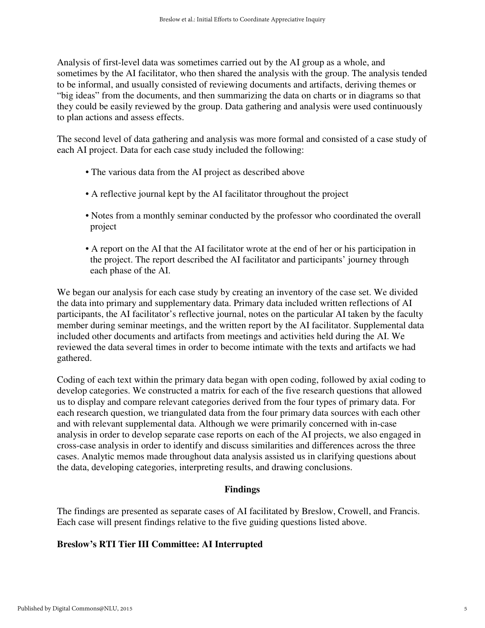Analysis of first-level data was sometimes carried out by the AI group as a whole, and sometimes by the AI facilitator, who then shared the analysis with the group. The analysis tended to be informal, and usually consisted of reviewing documents and artifacts, deriving themes or "big ideas" from the documents, and then summarizing the data on charts or in diagrams so that they could be easily reviewed by the group. Data gathering and analysis were used continuously to plan actions and assess effects.

The second level of data gathering and analysis was more formal and consisted of a case study of each AI project. Data for each case study included the following:

- The various data from the AI project as described above
- A reflective journal kept by the AI facilitator throughout the project
- Notes from a monthly seminar conducted by the professor who coordinated the overall project
- A report on the AI that the AI facilitator wrote at the end of her or his participation in the project. The report described the AI facilitator and participants' journey through each phase of the AI.

We began our analysis for each case study by creating an inventory of the case set. We divided the data into primary and supplementary data. Primary data included written reflections of AI participants, the AI facilitator's reflective journal, notes on the particular AI taken by the faculty member during seminar meetings, and the written report by the AI facilitator. Supplemental data included other documents and artifacts from meetings and activities held during the AI. We reviewed the data several times in order to become intimate with the texts and artifacts we had gathered.

Coding of each text within the primary data began with open coding, followed by axial coding to develop categories. We constructed a matrix for each of the five research questions that allowed us to display and compare relevant categories derived from the four types of primary data. For each research question, we triangulated data from the four primary data sources with each other and with relevant supplemental data. Although we were primarily concerned with in-case analysis in order to develop separate case reports on each of the AI projects, we also engaged in cross-case analysis in order to identify and discuss similarities and differences across the three cases. Analytic memos made throughout data analysis assisted us in clarifying questions about the data, developing categories, interpreting results, and drawing conclusions.

#### **Findings**

The findings are presented as separate cases of AI facilitated by Breslow, Crowell, and Francis. Each case will present findings relative to the five guiding questions listed above.

#### **Breslow's RTI Tier III Committee: AI Interrupted**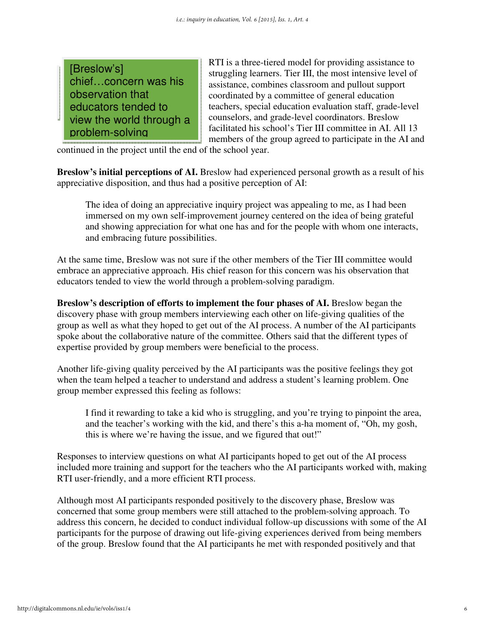[Breslow's] chief…concern was his observation that educators tended to view the world through a problem-solving

RTI is a three-tiered model for providing assistance to struggling learners. Tier III, the most intensive level of assistance, combines classroom and pullout support coordinated by a committee of general education teachers, special education evaluation staff, grade-level counselors, and grade-level coordinators. Breslow facilitated his school's Tier III committee in AI. All 13 members of the group agreed to participate in the AI and

continued in the project until the end of the school year.

**Breslow's initial perceptions of AI.** Breslow had experienced personal growth as a result of his appreciative disposition, and thus had a positive perception of AI:

The idea of doing an appreciative inquiry project was appealing to me, as I had been immersed on my own self-improvement journey centered on the idea of being grateful and showing appreciation for what one has and for the people with whom one interacts, and embracing future possibilities.

At the same time, Breslow was not sure if the other members of the Tier III committee would embrace an appreciative approach. His chief reason for this concern was his observation that educators tended to view the world through a problem-solving paradigm.

**Breslow's description of efforts to implement the four phases of AI.** Breslow began the discovery phase with group members interviewing each other on life-giving qualities of the group as well as what they hoped to get out of the AI process. A number of the AI participants spoke about the collaborative nature of the committee. Others said that the different types of expertise provided by group members were beneficial to the process.

Another life-giving quality perceived by the AI participants was the positive feelings they got when the team helped a teacher to understand and address a student's learning problem. One group member expressed this feeling as follows:

I find it rewarding to take a kid who is struggling, and you're trying to pinpoint the area, and the teacher's working with the kid, and there's this a-ha moment of, "Oh, my gosh, this is where we're having the issue, and we figured that out!"

Responses to interview questions on what AI participants hoped to get out of the AI process included more training and support for the teachers who the AI participants worked with, making RTI user-friendly, and a more efficient RTI process.

Although most AI participants responded positively to the discovery phase, Breslow was concerned that some group members were still attached to the problem-solving approach. To address this concern, he decided to conduct individual follow-up discussions with some of the AI participants for the purpose of drawing out life-giving experiences derived from being members of the group. Breslow found that the AI participants he met with responded positively and that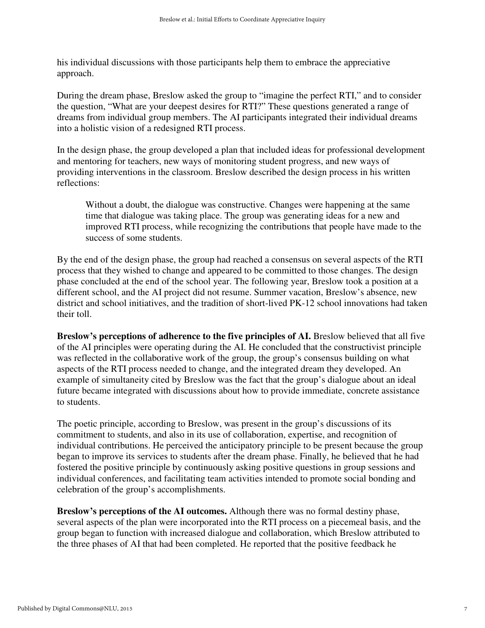his individual discussions with those participants help them to embrace the appreciative approach.

During the dream phase, Breslow asked the group to "imagine the perfect RTI," and to consider the question, "What are your deepest desires for RTI?" These questions generated a range of dreams from individual group members. The AI participants integrated their individual dreams into a holistic vision of a redesigned RTI process.

In the design phase, the group developed a plan that included ideas for professional development and mentoring for teachers, new ways of monitoring student progress, and new ways of providing interventions in the classroom. Breslow described the design process in his written reflections:

Without a doubt, the dialogue was constructive. Changes were happening at the same time that dialogue was taking place. The group was generating ideas for a new and improved RTI process, while recognizing the contributions that people have made to the success of some students.

By the end of the design phase, the group had reached a consensus on several aspects of the RTI process that they wished to change and appeared to be committed to those changes. The design phase concluded at the end of the school year. The following year, Breslow took a position at a different school, and the AI project did not resume. Summer vacation, Breslow's absence, new district and school initiatives, and the tradition of short-lived PK-12 school innovations had taken their toll.

**Breslow's perceptions of adherence to the five principles of AI.** Breslow believed that all five of the AI principles were operating during the AI. He concluded that the constructivist principle was reflected in the collaborative work of the group, the group's consensus building on what aspects of the RTI process needed to change, and the integrated dream they developed. An example of simultaneity cited by Breslow was the fact that the group's dialogue about an ideal future became integrated with discussions about how to provide immediate, concrete assistance to students.

The poetic principle, according to Breslow, was present in the group's discussions of its commitment to students, and also in its use of collaboration, expertise, and recognition of individual contributions. He perceived the anticipatory principle to be present because the group began to improve its services to students after the dream phase. Finally, he believed that he had fostered the positive principle by continuously asking positive questions in group sessions and individual conferences, and facilitating team activities intended to promote social bonding and celebration of the group's accomplishments.

**Breslow's perceptions of the AI outcomes.** Although there was no formal destiny phase, several aspects of the plan were incorporated into the RTI process on a piecemeal basis, and the group began to function with increased dialogue and collaboration, which Breslow attributed to the three phases of AI that had been completed. He reported that the positive feedback he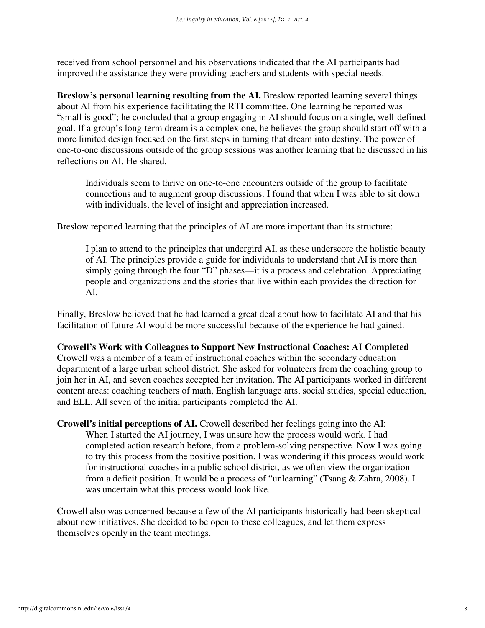received from school personnel and his observations indicated that the AI participants had improved the assistance they were providing teachers and students with special needs.

**Breslow's personal learning resulting from the AI.** Breslow reported learning several things about AI from his experience facilitating the RTI committee. One learning he reported was "small is good"; he concluded that a group engaging in AI should focus on a single, well-defined goal. If a group's long-term dream is a complex one, he believes the group should start off with a more limited design focused on the first steps in turning that dream into destiny. The power of one-to-one discussions outside of the group sessions was another learning that he discussed in his reflections on AI. He shared,

Individuals seem to thrive on one-to-one encounters outside of the group to facilitate connections and to augment group discussions. I found that when I was able to sit down with individuals, the level of insight and appreciation increased.

Breslow reported learning that the principles of AI are more important than its structure:

I plan to attend to the principles that undergird AI, as these underscore the holistic beauty of AI. The principles provide a guide for individuals to understand that AI is more than simply going through the four "D" phases—it is a process and celebration. Appreciating people and organizations and the stories that live within each provides the direction for AI.

Finally, Breslow believed that he had learned a great deal about how to facilitate AI and that his facilitation of future AI would be more successful because of the experience he had gained.

#### **Crowell's Work with Colleagues to Support New Instructional Coaches: AI Completed**

Crowell was a member of a team of instructional coaches within the secondary education department of a large urban school district*.* She asked for volunteers from the coaching group to join her in AI, and seven coaches accepted her invitation. The AI participants worked in different content areas: coaching teachers of math, English language arts, social studies, special education, and ELL. All seven of the initial participants completed the AI.

**Crowell's initial perceptions of AI.** Crowell described her feelings going into the AI: When I started the AI journey, I was unsure how the process would work. I had completed action research before, from a problem-solving perspective. Now I was going to try this process from the positive position. I was wondering if this process would work for instructional coaches in a public school district, as we often view the organization from a deficit position. It would be a process of "unlearning" (Tsang & Zahra, 2008). I was uncertain what this process would look like.

Crowell also was concerned because a few of the AI participants historically had been skeptical about new initiatives. She decided to be open to these colleagues, and let them express themselves openly in the team meetings.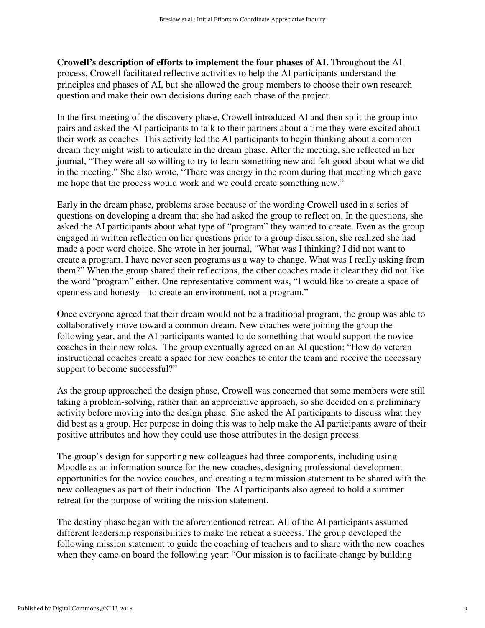**Crowell's description of efforts to implement the four phases of AI.** Throughout the AI process, Crowell facilitated reflective activities to help the AI participants understand the principles and phases of AI, but she allowed the group members to choose their own research question and make their own decisions during each phase of the project.

In the first meeting of the discovery phase, Crowell introduced AI and then split the group into pairs and asked the AI participants to talk to their partners about a time they were excited about their work as coaches. This activity led the AI participants to begin thinking about a common dream they might wish to articulate in the dream phase. After the meeting, she reflected in her journal, "They were all so willing to try to learn something new and felt good about what we did in the meeting." She also wrote, "There was energy in the room during that meeting which gave me hope that the process would work and we could create something new."

Early in the dream phase, problems arose because of the wording Crowell used in a series of questions on developing a dream that she had asked the group to reflect on. In the questions, she asked the AI participants about what type of "program" they wanted to create. Even as the group engaged in written reflection on her questions prior to a group discussion, she realized she had made a poor word choice. She wrote in her journal, "What was I thinking? I did not want to create a program. I have never seen programs as a way to change. What was I really asking from them?" When the group shared their reflections, the other coaches made it clear they did not like the word "program" either. One representative comment was, "I would like to create a space of openness and honesty—to create an environment, not a program."

Once everyone agreed that their dream would not be a traditional program, the group was able to collaboratively move toward a common dream. New coaches were joining the group the following year, and the AI participants wanted to do something that would support the novice coaches in their new roles. The group eventually agreed on an AI question: "How do veteran instructional coaches create a space for new coaches to enter the team and receive the necessary support to become successful?"

As the group approached the design phase, Crowell was concerned that some members were still taking a problem-solving, rather than an appreciative approach, so she decided on a preliminary activity before moving into the design phase. She asked the AI participants to discuss what they did best as a group. Her purpose in doing this was to help make the AI participants aware of their positive attributes and how they could use those attributes in the design process.

The group's design for supporting new colleagues had three components, including using Moodle as an information source for the new coaches, designing professional development opportunities for the novice coaches, and creating a team mission statement to be shared with the new colleagues as part of their induction. The AI participants also agreed to hold a summer retreat for the purpose of writing the mission statement.

The destiny phase began with the aforementioned retreat. All of the AI participants assumed different leadership responsibilities to make the retreat a success. The group developed the following mission statement to guide the coaching of teachers and to share with the new coaches when they came on board the following year: "Our mission is to facilitate change by building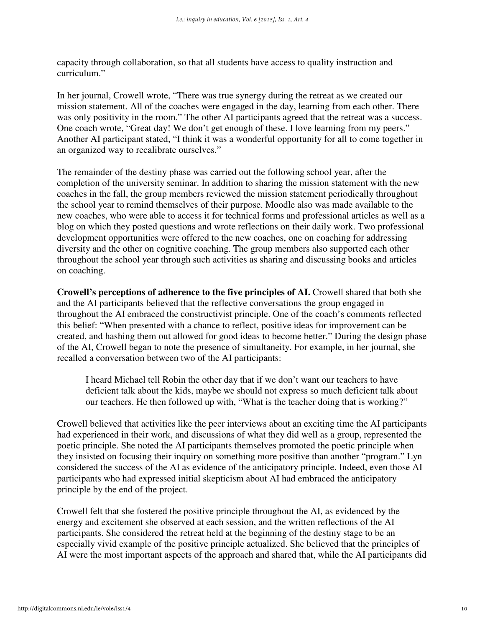capacity through collaboration, so that all students have access to quality instruction and curriculum."

In her journal, Crowell wrote, "There was true synergy during the retreat as we created our mission statement. All of the coaches were engaged in the day, learning from each other. There was only positivity in the room." The other AI participants agreed that the retreat was a success. One coach wrote, "Great day! We don't get enough of these. I love learning from my peers." Another AI participant stated, "I think it was a wonderful opportunity for all to come together in an organized way to recalibrate ourselves."

The remainder of the destiny phase was carried out the following school year, after the completion of the university seminar. In addition to sharing the mission statement with the new coaches in the fall, the group members reviewed the mission statement periodically throughout the school year to remind themselves of their purpose. Moodle also was made available to the new coaches, who were able to access it for technical forms and professional articles as well as a blog on which they posted questions and wrote reflections on their daily work. Two professional development opportunities were offered to the new coaches, one on coaching for addressing diversity and the other on cognitive coaching. The group members also supported each other throughout the school year through such activities as sharing and discussing books and articles on coaching.

**Crowell's perceptions of adherence to the five principles of AI.** Crowell shared that both she and the AI participants believed that the reflective conversations the group engaged in throughout the AI embraced the constructivist principle. One of the coach's comments reflected this belief: "When presented with a chance to reflect, positive ideas for improvement can be created, and hashing them out allowed for good ideas to become better." During the design phase of the AI, Crowell began to note the presence of simultaneity. For example, in her journal, she recalled a conversation between two of the AI participants:

I heard Michael tell Robin the other day that if we don't want our teachers to have deficient talk about the kids, maybe we should not express so much deficient talk about our teachers. He then followed up with, "What is the teacher doing that is working?"

Crowell believed that activities like the peer interviews about an exciting time the AI participants had experienced in their work, and discussions of what they did well as a group, represented the poetic principle. She noted the AI participants themselves promoted the poetic principle when they insisted on focusing their inquiry on something more positive than another "program." Lyn considered the success of the AI as evidence of the anticipatory principle. Indeed, even those AI participants who had expressed initial skepticism about AI had embraced the anticipatory principle by the end of the project.

Crowell felt that she fostered the positive principle throughout the AI, as evidenced by the energy and excitement she observed at each session, and the written reflections of the AI participants. She considered the retreat held at the beginning of the destiny stage to be an especially vivid example of the positive principle actualized. She believed that the principles of AI were the most important aspects of the approach and shared that, while the AI participants did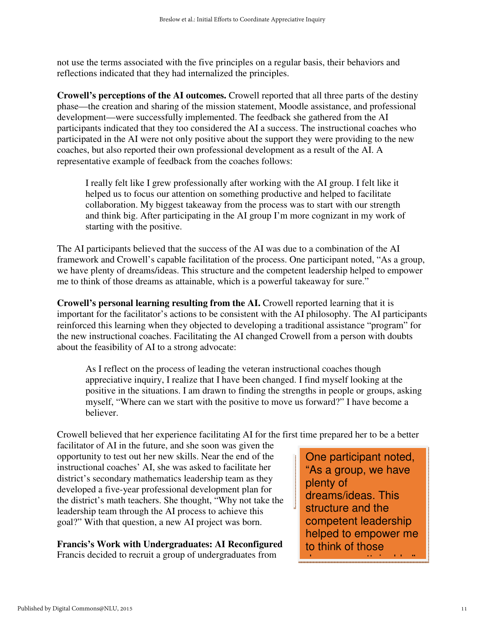not use the terms associated with the five principles on a regular basis, their behaviors and reflections indicated that they had internalized the principles.

**Crowell's perceptions of the AI outcomes.** Crowell reported that all three parts of the destiny phase—the creation and sharing of the mission statement, Moodle assistance, and professional development—were successfully implemented. The feedback she gathered from the AI participants indicated that they too considered the AI a success. The instructional coaches who participated in the AI were not only positive about the support they were providing to the new coaches, but also reported their own professional development as a result of the AI. A representative example of feedback from the coaches follows:

I really felt like I grew professionally after working with the AI group. I felt like it helped us to focus our attention on something productive and helped to facilitate collaboration. My biggest takeaway from the process was to start with our strength and think big. After participating in the AI group I'm more cognizant in my work of starting with the positive.

The AI participants believed that the success of the AI was due to a combination of the AI framework and Crowell's capable facilitation of the process. One participant noted, "As a group, we have plenty of dreams/ideas. This structure and the competent leadership helped to empower me to think of those dreams as attainable, which is a powerful takeaway for sure."

**Crowell's personal learning resulting from the AI.** Crowell reported learning that it is important for the facilitator's actions to be consistent with the AI philosophy. The AI participants reinforced this learning when they objected to developing a traditional assistance "program" for the new instructional coaches. Facilitating the AI changed Crowell from a person with doubts about the feasibility of AI to a strong advocate:

As I reflect on the process of leading the veteran instructional coaches though appreciative inquiry, I realize that I have been changed. I find myself looking at the positive in the situations. I am drawn to finding the strengths in people or groups, asking myself, "Where can we start with the positive to move us forward?" I have become a believer.

Crowell believed that her experience facilitating AI for the first time prepared her to be a better

facilitator of AI in the future, and she soon was given the opportunity to test out her new skills. Near the end of the instructional coaches' AI, she was asked to facilitate her district's secondary mathematics leadership team as they developed a five-year professional development plan for the district's math teachers. She thought, "Why not take the leadership team through the AI process to achieve this goal?" With that question, a new AI project was born.

**Francis's Work with Undergraduates: AI Reconfigured**  Francis decided to recruit a group of undergraduates from

One participant noted, "As a group, we have plenty of dreams/ideas. This structure and the competent leadership helped to empower me to think of those dreams as attained the contract of the contract of the contract of the contract of the contract of the contract of the contract of the contract of the contract of the contract of the contract of the contract of the contrac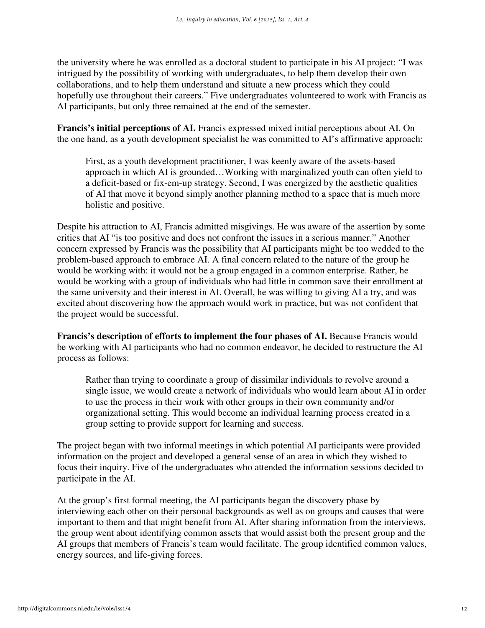the university where he was enrolled as a doctoral student to participate in his AI project: "I was intrigued by the possibility of working with undergraduates, to help them develop their own collaborations, and to help them understand and situate a new process which they could hopefully use throughout their careers." Five undergraduates volunteered to work with Francis as AI participants, but only three remained at the end of the semester.

**Francis's initial perceptions of AI.** Francis expressed mixed initial perceptions about AI. On the one hand, as a youth development specialist he was committed to AI's affirmative approach:

First, as a youth development practitioner, I was keenly aware of the assets-based approach in which AI is grounded…Working with marginalized youth can often yield to a deficit-based or fix-em-up strategy. Second, I was energized by the aesthetic qualities of AI that move it beyond simply another planning method to a space that is much more holistic and positive.

Despite his attraction to AI, Francis admitted misgivings. He was aware of the assertion by some critics that AI "is too positive and does not confront the issues in a serious manner." Another concern expressed by Francis was the possibility that AI participants might be too wedded to the problem-based approach to embrace AI. A final concern related to the nature of the group he would be working with: it would not be a group engaged in a common enterprise. Rather, he would be working with a group of individuals who had little in common save their enrollment at the same university and their interest in AI. Overall, he was willing to giving AI a try, and was excited about discovering how the approach would work in practice, but was not confident that the project would be successful.

**Francis's description of efforts to implement the four phases of AI.** Because Francis would be working with AI participants who had no common endeavor, he decided to restructure the AI process as follows:

Rather than trying to coordinate a group of dissimilar individuals to revolve around a single issue, we would create a network of individuals who would learn about AI in order to use the process in their work with other groups in their own community and/or organizational setting. This would become an individual learning process created in a group setting to provide support for learning and success.

The project began with two informal meetings in which potential AI participants were provided information on the project and developed a general sense of an area in which they wished to focus their inquiry. Five of the undergraduates who attended the information sessions decided to participate in the AI.

At the group's first formal meeting, the AI participants began the discovery phase by interviewing each other on their personal backgrounds as well as on groups and causes that were important to them and that might benefit from AI. After sharing information from the interviews, the group went about identifying common assets that would assist both the present group and the AI groups that members of Francis's team would facilitate. The group identified common values, energy sources, and life-giving forces.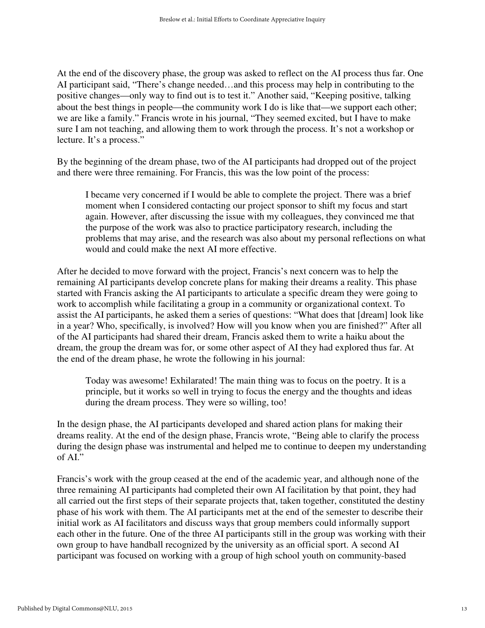At the end of the discovery phase, the group was asked to reflect on the AI process thus far. One AI participant said, "There's change needed…and this process may help in contributing to the positive changes—only way to find out is to test it." Another said, "Keeping positive, talking about the best things in people—the community work I do is like that—we support each other; we are like a family." Francis wrote in his journal, "They seemed excited, but I have to make sure I am not teaching, and allowing them to work through the process. It's not a workshop or lecture. It's a process."

By the beginning of the dream phase, two of the AI participants had dropped out of the project and there were three remaining. For Francis, this was the low point of the process:

I became very concerned if I would be able to complete the project. There was a brief moment when I considered contacting our project sponsor to shift my focus and start again. However, after discussing the issue with my colleagues, they convinced me that the purpose of the work was also to practice participatory research, including the problems that may arise, and the research was also about my personal reflections on what would and could make the next AI more effective.

After he decided to move forward with the project, Francis's next concern was to help the remaining AI participants develop concrete plans for making their dreams a reality. This phase started with Francis asking the AI participants to articulate a specific dream they were going to work to accomplish while facilitating a group in a community or organizational context. To assist the AI participants, he asked them a series of questions: "What does that [dream] look like in a year? Who, specifically, is involved? How will you know when you are finished?" After all of the AI participants had shared their dream, Francis asked them to write a haiku about the dream, the group the dream was for, or some other aspect of AI they had explored thus far. At the end of the dream phase, he wrote the following in his journal:

Today was awesome! Exhilarated! The main thing was to focus on the poetry. It is a principle, but it works so well in trying to focus the energy and the thoughts and ideas during the dream process. They were so willing, too!

In the design phase, the AI participants developed and shared action plans for making their dreams reality. At the end of the design phase, Francis wrote, "Being able to clarify the process during the design phase was instrumental and helped me to continue to deepen my understanding of AI."

Francis's work with the group ceased at the end of the academic year, and although none of the three remaining AI participants had completed their own AI facilitation by that point, they had all carried out the first steps of their separate projects that, taken together, constituted the destiny phase of his work with them. The AI participants met at the end of the semester to describe their initial work as AI facilitators and discuss ways that group members could informally support each other in the future. One of the three AI participants still in the group was working with their own group to have handball recognized by the university as an official sport. A second AI participant was focused on working with a group of high school youth on community-based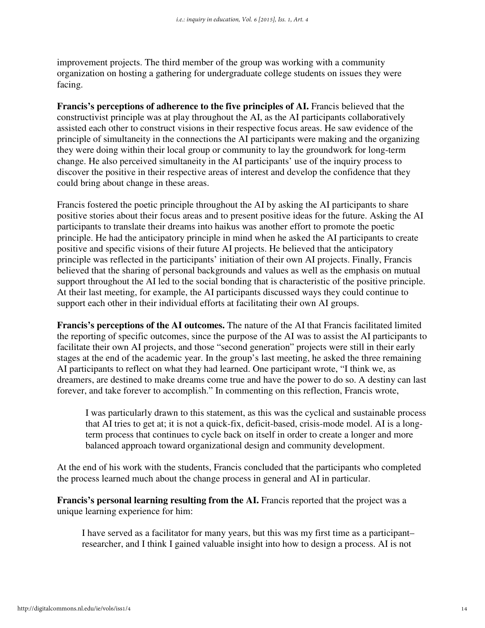improvement projects. The third member of the group was working with a community organization on hosting a gathering for undergraduate college students on issues they were facing.

**Francis's perceptions of adherence to the five principles of AI.** Francis believed that the constructivist principle was at play throughout the AI, as the AI participants collaboratively assisted each other to construct visions in their respective focus areas. He saw evidence of the principle of simultaneity in the connections the AI participants were making and the organizing they were doing within their local group or community to lay the groundwork for long-term change. He also perceived simultaneity in the AI participants' use of the inquiry process to discover the positive in their respective areas of interest and develop the confidence that they could bring about change in these areas.

Francis fostered the poetic principle throughout the AI by asking the AI participants to share positive stories about their focus areas and to present positive ideas for the future. Asking the AI participants to translate their dreams into haikus was another effort to promote the poetic principle. He had the anticipatory principle in mind when he asked the AI participants to create positive and specific visions of their future AI projects. He believed that the anticipatory principle was reflected in the participants' initiation of their own AI projects. Finally, Francis believed that the sharing of personal backgrounds and values as well as the emphasis on mutual support throughout the AI led to the social bonding that is characteristic of the positive principle. At their last meeting, for example, the AI participants discussed ways they could continue to support each other in their individual efforts at facilitating their own AI groups.

**Francis's perceptions of the AI outcomes.** The nature of the AI that Francis facilitated limited the reporting of specific outcomes, since the purpose of the AI was to assist the AI participants to facilitate their own AI projects, and those "second generation" projects were still in their early stages at the end of the academic year. In the group's last meeting, he asked the three remaining AI participants to reflect on what they had learned. One participant wrote, "I think we, as dreamers, are destined to make dreams come true and have the power to do so. A destiny can last forever, and take forever to accomplish." In commenting on this reflection, Francis wrote,

I was particularly drawn to this statement, as this was the cyclical and sustainable process that AI tries to get at; it is not a quick-fix, deficit-based, crisis-mode model. AI is a longterm process that continues to cycle back on itself in order to create a longer and more balanced approach toward organizational design and community development.

 At the end of his work with the students, Francis concluded that the participants who completed the process learned much about the change process in general and AI in particular.

**Francis's personal learning resulting from the AI.** Francis reported that the project was a unique learning experience for him:

I have served as a facilitator for many years, but this was my first time as a participant– researcher, and I think I gained valuable insight into how to design a process. AI is not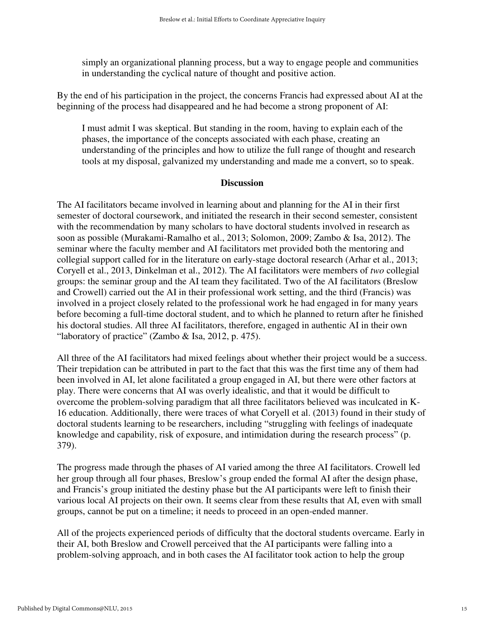simply an organizational planning process, but a way to engage people and communities in understanding the cyclical nature of thought and positive action.

By the end of his participation in the project, the concerns Francis had expressed about AI at the beginning of the process had disappeared and he had become a strong proponent of AI:

I must admit I was skeptical. But standing in the room, having to explain each of the phases, the importance of the concepts associated with each phase, creating an understanding of the principles and how to utilize the full range of thought and research tools at my disposal, galvanized my understanding and made me a convert, so to speak.

#### **Discussion**

The AI facilitators became involved in learning about and planning for the AI in their first semester of doctoral coursework, and initiated the research in their second semester, consistent with the recommendation by many scholars to have doctoral students involved in research as soon as possible (Murakami-Ramalho et al., 2013; Solomon, 2009; Zambo & Isa, 2012). The seminar where the faculty member and AI facilitators met provided both the mentoring and collegial support called for in the literature on early-stage doctoral research (Arhar et al., 2013; Coryell et al., 2013, Dinkelman et al., 2012). The AI facilitators were members of *two* collegial groups: the seminar group and the AI team they facilitated. Two of the AI facilitators (Breslow and Crowell) carried out the AI in their professional work setting, and the third (Francis) was involved in a project closely related to the professional work he had engaged in for many years before becoming a full-time doctoral student, and to which he planned to return after he finished his doctoral studies. All three AI facilitators, therefore, engaged in authentic AI in their own "laboratory of practice" (Zambo & Isa, 2012, p. 475).

All three of the AI facilitators had mixed feelings about whether their project would be a success. Their trepidation can be attributed in part to the fact that this was the first time any of them had been involved in AI, let alone facilitated a group engaged in AI, but there were other factors at play. There were concerns that AI was overly idealistic, and that it would be difficult to overcome the problem-solving paradigm that all three facilitators believed was inculcated in K-16 education. Additionally, there were traces of what Coryell et al. (2013) found in their study of doctoral students learning to be researchers, including "struggling with feelings of inadequate knowledge and capability, risk of exposure, and intimidation during the research process" (p. 379).

The progress made through the phases of AI varied among the three AI facilitators. Crowell led her group through all four phases, Breslow's group ended the formal AI after the design phase, and Francis's group initiated the destiny phase but the AI participants were left to finish their various local AI projects on their own. It seems clear from these results that AI, even with small groups, cannot be put on a timeline; it needs to proceed in an open-ended manner.

All of the projects experienced periods of difficulty that the doctoral students overcame. Early in their AI, both Breslow and Crowell perceived that the AI participants were falling into a problem-solving approach, and in both cases the AI facilitator took action to help the group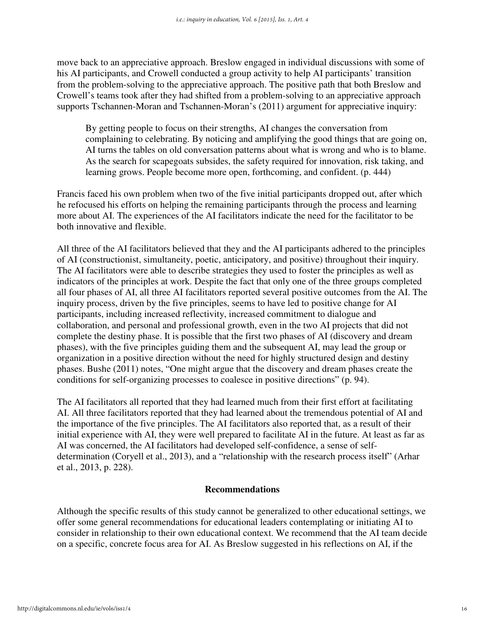move back to an appreciative approach. Breslow engaged in individual discussions with some of his AI participants, and Crowell conducted a group activity to help AI participants' transition from the problem-solving to the appreciative approach. The positive path that both Breslow and Crowell's teams took after they had shifted from a problem-solving to an appreciative approach supports Tschannen-Moran and Tschannen-Moran's (2011) argument for appreciative inquiry:

By getting people to focus on their strengths, AI changes the conversation from complaining to celebrating. By noticing and amplifying the good things that are going on, AI turns the tables on old conversation patterns about what is wrong and who is to blame. As the search for scapegoats subsides, the safety required for innovation, risk taking, and learning grows. People become more open, forthcoming, and confident. (p. 444)

Francis faced his own problem when two of the five initial participants dropped out, after which he refocused his efforts on helping the remaining participants through the process and learning more about AI. The experiences of the AI facilitators indicate the need for the facilitator to be both innovative and flexible.

All three of the AI facilitators believed that they and the AI participants adhered to the principles of AI (constructionist, simultaneity, poetic, anticipatory, and positive) throughout their inquiry. The AI facilitators were able to describe strategies they used to foster the principles as well as indicators of the principles at work. Despite the fact that only one of the three groups completed all four phases of AI, all three AI facilitators reported several positive outcomes from the AI. The inquiry process, driven by the five principles, seems to have led to positive change for AI participants, including increased reflectivity, increased commitment to dialogue and collaboration, and personal and professional growth, even in the two AI projects that did not complete the destiny phase. It is possible that the first two phases of AI (discovery and dream phases), with the five principles guiding them and the subsequent AI, may lead the group or organization in a positive direction without the need for highly structured design and destiny phases. Bushe (2011) notes, "One might argue that the discovery and dream phases create the conditions for self-organizing processes to coalesce in positive directions" (p. 94).

The AI facilitators all reported that they had learned much from their first effort at facilitating AI. All three facilitators reported that they had learned about the tremendous potential of AI and the importance of the five principles. The AI facilitators also reported that, as a result of their initial experience with AI, they were well prepared to facilitate AI in the future. At least as far as AI was concerned, the AI facilitators had developed self-confidence, a sense of selfdetermination (Coryell et al., 2013), and a "relationship with the research process itself" (Arhar et al., 2013, p. 228).

#### **Recommendations**

Although the specific results of this study cannot be generalized to other educational settings, we offer some general recommendations for educational leaders contemplating or initiating AI to consider in relationship to their own educational context. We recommend that the AI team decide on a specific, concrete focus area for AI. As Breslow suggested in his reflections on AI, if the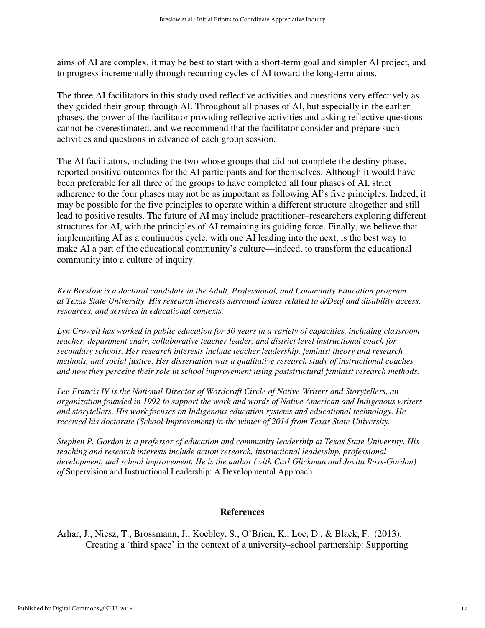aims of AI are complex, it may be best to start with a short-term goal and simpler AI project, and to progress incrementally through recurring cycles of AI toward the long-term aims.

The three AI facilitators in this study used reflective activities and questions very effectively as they guided their group through AI. Throughout all phases of AI, but especially in the earlier phases, the power of the facilitator providing reflective activities and asking reflective questions cannot be overestimated, and we recommend that the facilitator consider and prepare such activities and questions in advance of each group session.

The AI facilitators, including the two whose groups that did not complete the destiny phase, reported positive outcomes for the AI participants and for themselves. Although it would have been preferable for all three of the groups to have completed all four phases of AI, strict adherence to the four phases may not be as important as following AI's five principles. Indeed, it may be possible for the five principles to operate within a different structure altogether and still lead to positive results. The future of AI may include practitioner–researchers exploring different structures for AI, with the principles of AI remaining its guiding force. Finally, we believe that implementing AI as a continuous cycle, with one AI leading into the next, is the best way to make AI a part of the educational community's culture—indeed, to transform the educational community into a culture of inquiry.

*Ken Breslow is a doctoral candidate in the Adult, Professional, and Community Education program at Texas State University. His research interests surround issues related to d/Deaf and disability access, resources, and services in educational contexts.* 

*Lyn Crowell has worked in public education for 30 years in a variety of capacities, including classroom teacher, department chair, collaborative teacher leader, and district level instructional coach for secondary schools. Her research interests include teacher leadership, feminist theory and research methods, and social justice. Her dissertation was a qualitative research study of instructional coaches and how they perceive their role in school improvement using poststructural feminist research methods.* 

*Lee Francis IV is the National Director of Wordcraft Circle of Native Writers and Storytellers, an organization founded in 1992 to support the work and words of Native American and Indigenous writers and storytellers. His work focuses on Indigenous education systems and educational technology. He received his doctorate (School Improvement) in the winter of 2014 from Texas State University.* 

*Stephen P. Gordon is a professor of education and community leadership at Texas State University. His teaching and research interests include action research, instructional leadership, professional development, and school improvement. He is the author (with Carl Glickman and Jovita Ross-Gordon) of* Supervision and Instructional Leadership: A Developmental Approach.

#### **References**

Arhar, J., Niesz, T., Brossmann, J., Koebley, S., O'Brien, K., Loe, D., & Black, F. (2013). Creating a 'third space' in the context of a university–school partnership: Supporting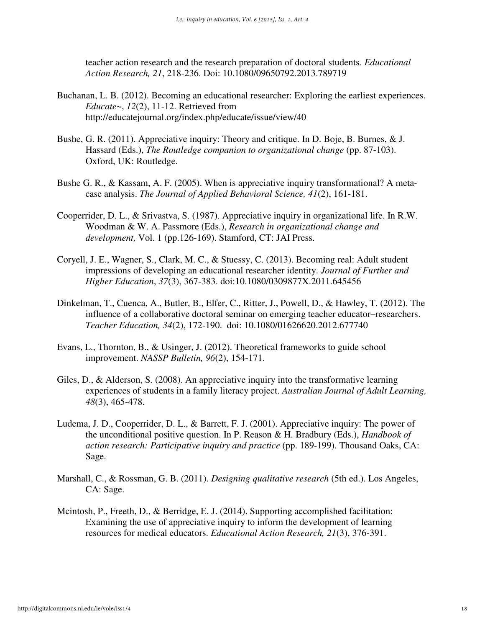teacher action research and the research preparation of doctoral students. *Educational Action Research, 21*, 218-236. Doi: 10.1080/09650792.2013.789719

- Buchanan, L. B. (2012). Becoming an educational researcher: Exploring the earliest experiences. *Educate~*, *12*(2), 11-12. Retrieved from http://educatejournal.org/index.php/educate/issue/view/40
- Bushe, G. R. (2011). Appreciative inquiry: Theory and critique. In D. Boje, B. Burnes, & J. Hassard (Eds.), *The Routledge companion to organizational change* (pp. 87-103). Oxford, UK: Routledge.
- Bushe G. R., & Kassam, A. F. (2005). When is appreciative inquiry transformational? A metacase analysis. *The Journal of Applied Behavioral Science, 41*(2), 161-181.
- Cooperrider, D. L., & Srivastva, S. (1987). Appreciative inquiry in organizational life. In R.W. Woodman & W. A. Passmore (Eds.), *Research in organizational change and development,* Vol. 1 (pp.126-169). Stamford, CT: JAI Press.
- Coryell, J. E., Wagner, S., Clark, M. C., & Stuessy, C. (2013). Becoming real: Adult student impressions of developing an educational researcher identity. *Journal of Further and Higher Education*, *37*(3), 367-383. doi:10.1080/0309877X.2011.645456
- Dinkelman, T., Cuenca, A., Butler, B., Elfer, C., Ritter, J., Powell, D., & Hawley, T. (2012). The influence of a collaborative doctoral seminar on emerging teacher educator–researchers. *Teacher Education, 34*(2), 172-190. doi: 10.1080/01626620.2012.677740
- Evans, L., Thornton, B., & Usinger, J. (2012). Theoretical frameworks to guide school improvement. *NASSP Bulletin, 96*(2), 154-171.
- Giles, D., & Alderson, S. (2008). An appreciative inquiry into the transformative learning experiences of students in a family literacy project. *Australian Journal of Adult Learning, 48*(3), 465-478.
- Ludema, J. D., Cooperrider, D. L., & Barrett, F. J. (2001). Appreciative inquiry: The power of the unconditional positive question. In P. Reason & H. Bradbury (Eds.), *Handbook of action research: Participative inquiry and practice* (pp. 189-199). Thousand Oaks, CA: Sage.
- Marshall, C., & Rossman, G. B. (2011). *Designing qualitative research* (5th ed.). Los Angeles, CA: Sage.
- Mcintosh, P., Freeth, D., & Berridge, E. J. (2014). Supporting accomplished facilitation: Examining the use of appreciative inquiry to inform the development of learning resources for medical educators. *Educational Action Research, 21*(3), 376-391.